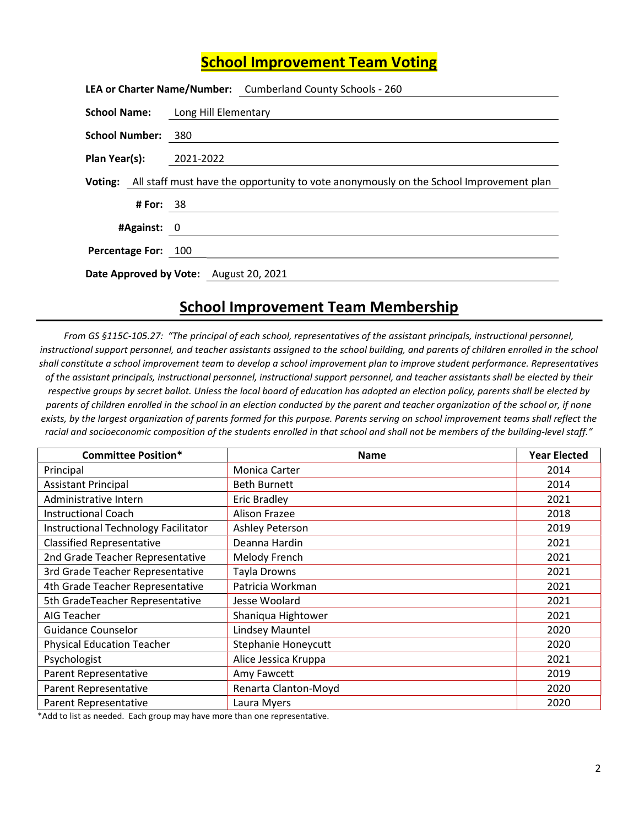## School Improvement Team Voting

|                         |           | LEA or Charter Name/Number: Cumberland County Schools - 260                                    |
|-------------------------|-----------|------------------------------------------------------------------------------------------------|
|                         |           | <b>School Name:</b> Long Hill Elementary                                                       |
| School Number: 380      |           |                                                                                                |
| Plan Year(s): 2021-2022 |           |                                                                                                |
|                         |           | Voting: All staff must have the opportunity to vote anonymously on the School Improvement plan |
|                         | # For: 38 |                                                                                                |
| #Against: 0             |           |                                                                                                |
| Percentage For: 100     |           |                                                                                                |
|                         |           | Date Approved by Vote: August 20, 2021                                                         |

## School Improvement Team Membership

From GS §115C-105.27: "The principal of each school, representatives of the assistant principals, instructional personnel, instructional support personnel, and teacher assistants assigned to the school building, and parents of children enrolled in the school shall constitute a school improvement team to develop a school improvement plan to improve student performance. Representatives of the assistant principals, instructional personnel, instructional support personnel, and teacher assistants shall be elected by their respective groups by secret ballot. Unless the local board of education has adopted an election policy, parents shall be elected by parents of children enrolled in the school in an election conducted by the parent and teacher organization of the school or, if none exists, by the largest organization of parents formed for this purpose. Parents serving on school improvement teams shall reflect the racial and socioeconomic composition of the students enrolled in that school and shall not be members of the building-level staff."

| <b>Committee Position*</b>           | <b>Name</b>                | <b>Year Elected</b> |
|--------------------------------------|----------------------------|---------------------|
| Principal                            | <b>Monica Carter</b>       | 2014                |
| <b>Assistant Principal</b>           | <b>Beth Burnett</b>        | 2014                |
| Administrative Intern                | <b>Eric Bradley</b>        | 2021                |
| <b>Instructional Coach</b>           | <b>Alison Frazee</b>       | 2018                |
| Instructional Technology Facilitator | Ashley Peterson            | 2019                |
| <b>Classified Representative</b>     | Deanna Hardin              | 2021                |
| 2nd Grade Teacher Representative     | Melody French              | 2021                |
| 3rd Grade Teacher Representative     | Tayla Drowns               | 2021                |
| 4th Grade Teacher Representative     | Patricia Workman           | 2021                |
| 5th GradeTeacher Representative      | Jesse Woolard              | 2021                |
| AIG Teacher                          | Shaniqua Hightower         | 2021                |
| <b>Guidance Counselor</b>            | Lindsey Mauntel            | 2020                |
| <b>Physical Education Teacher</b>    | <b>Stephanie Honeycutt</b> | 2020                |
| Psychologist                         | Alice Jessica Kruppa       | 2021                |
| Parent Representative                | Amy Fawcett                | 2019                |
| Parent Representative                | Renarta Clanton-Moyd       | 2020                |
| Parent Representative                | Laura Myers                | 2020                |

\*Add to list as needed. Each group may have more than one representative.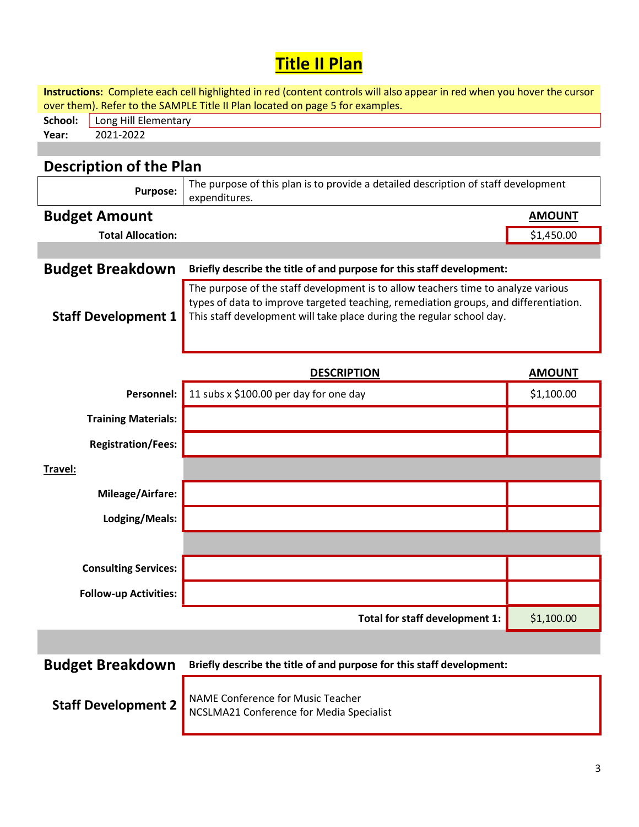## **Title II Plan**

| Instructions: Complete each cell highlighted in red (content controls will also appear in red when you hover the cursor |                                                                                                                                                                                                                                                    |               |  |  |  |  |
|-------------------------------------------------------------------------------------------------------------------------|----------------------------------------------------------------------------------------------------------------------------------------------------------------------------------------------------------------------------------------------------|---------------|--|--|--|--|
| over them). Refer to the SAMPLE Title II Plan located on page 5 for examples.<br>School:<br>Long Hill Elementary        |                                                                                                                                                                                                                                                    |               |  |  |  |  |
| 2021-2022<br>Year:                                                                                                      |                                                                                                                                                                                                                                                    |               |  |  |  |  |
|                                                                                                                         |                                                                                                                                                                                                                                                    |               |  |  |  |  |
| <b>Description of the Plan</b>                                                                                          |                                                                                                                                                                                                                                                    |               |  |  |  |  |
| <b>Purpose:</b>                                                                                                         | The purpose of this plan is to provide a detailed description of staff development<br>expenditures.                                                                                                                                                |               |  |  |  |  |
| <b>Budget Amount</b>                                                                                                    |                                                                                                                                                                                                                                                    | <b>AMOUNT</b> |  |  |  |  |
| <b>Total Allocation:</b>                                                                                                |                                                                                                                                                                                                                                                    | \$1,450.00    |  |  |  |  |
|                                                                                                                         |                                                                                                                                                                                                                                                    |               |  |  |  |  |
| <b>Budget Breakdown</b>                                                                                                 | Briefly describe the title of and purpose for this staff development:                                                                                                                                                                              |               |  |  |  |  |
| <b>Staff Development 1</b>                                                                                              | The purpose of the staff development is to allow teachers time to analyze various<br>types of data to improve targeted teaching, remediation groups, and differentiation.<br>This staff development will take place during the regular school day. |               |  |  |  |  |
|                                                                                                                         | <b>DESCRIPTION</b>                                                                                                                                                                                                                                 | <b>AMOUNT</b> |  |  |  |  |
| <b>Personnel:</b>                                                                                                       | 11 subs x \$100.00 per day for one day                                                                                                                                                                                                             | \$1,100.00    |  |  |  |  |
| <b>Training Materials:</b>                                                                                              |                                                                                                                                                                                                                                                    |               |  |  |  |  |
| <b>Registration/Fees:</b>                                                                                               |                                                                                                                                                                                                                                                    |               |  |  |  |  |
| Travel:                                                                                                                 |                                                                                                                                                                                                                                                    |               |  |  |  |  |
| <b>Mileage/Airfare:</b>                                                                                                 |                                                                                                                                                                                                                                                    |               |  |  |  |  |
| Lodging/Meals:                                                                                                          |                                                                                                                                                                                                                                                    |               |  |  |  |  |
|                                                                                                                         |                                                                                                                                                                                                                                                    |               |  |  |  |  |
| <b>Consulting Services:</b>                                                                                             |                                                                                                                                                                                                                                                    |               |  |  |  |  |
| <b>Follow-up Activities:</b>                                                                                            |                                                                                                                                                                                                                                                    |               |  |  |  |  |
|                                                                                                                         | Total for staff development 1:                                                                                                                                                                                                                     | \$1,100.00    |  |  |  |  |
|                                                                                                                         |                                                                                                                                                                                                                                                    |               |  |  |  |  |
| <b>Budget Breakdown</b>                                                                                                 | Briefly describe the title of and purpose for this staff development:                                                                                                                                                                              |               |  |  |  |  |
|                                                                                                                         | NANAE Conforance for Music Topchor                                                                                                                                                                                                                 |               |  |  |  |  |

**Staff Development 2** NAME Conference for Music Teacher NCSLMA21 Conference for Media Specialist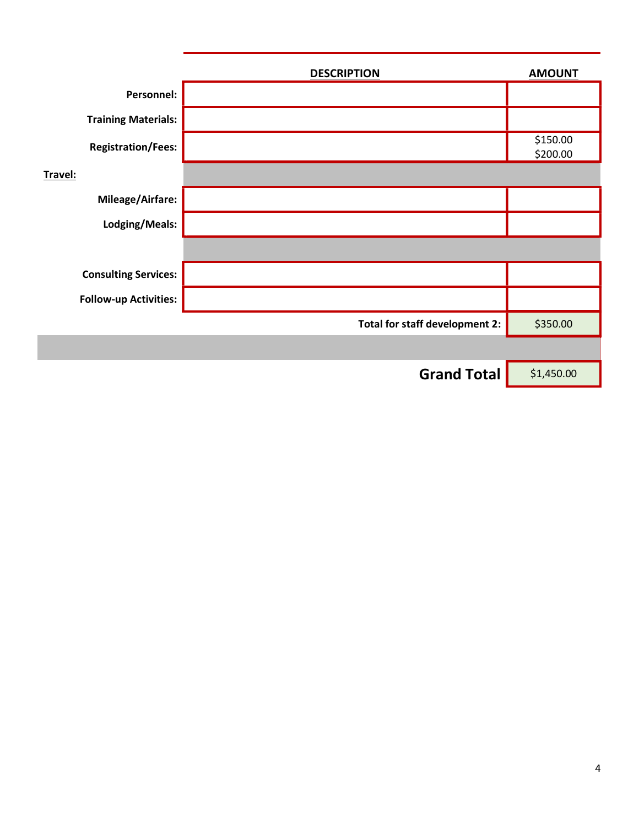|                              | <b>DESCRIPTION</b>             | <b>AMOUNT</b>        |
|------------------------------|--------------------------------|----------------------|
| Personnel:                   |                                |                      |
| <b>Training Materials:</b>   |                                |                      |
| <b>Registration/Fees:</b>    |                                | \$150.00<br>\$200.00 |
| Travel:                      |                                |                      |
| Mileage/Airfare:             |                                |                      |
| Lodging/Meals:               |                                |                      |
|                              |                                |                      |
| <b>Consulting Services:</b>  |                                |                      |
| <b>Follow-up Activities:</b> |                                |                      |
|                              | Total for staff development 2: | \$350.00             |
|                              |                                |                      |
|                              | <b>Grand Total</b>             | \$1,450.00           |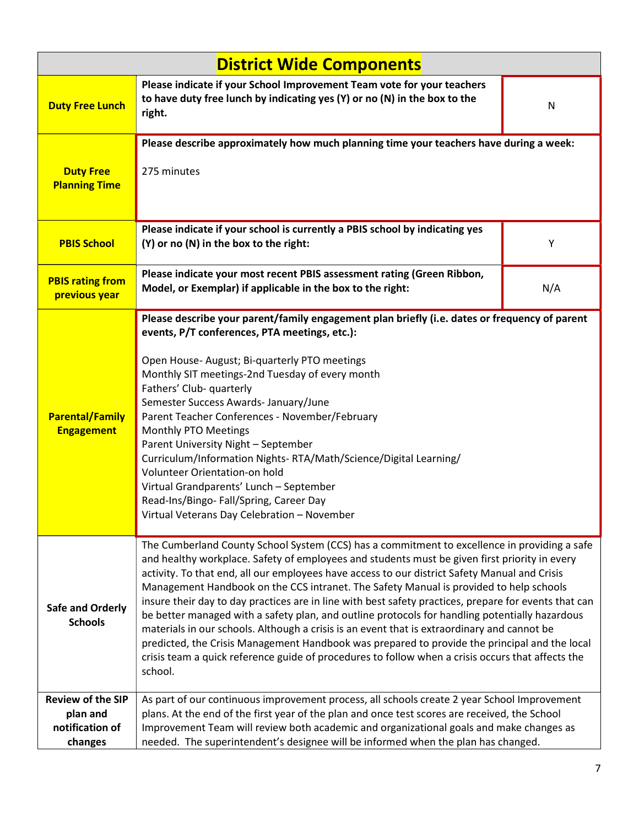| <b>District Wide Components</b>                                    |                                                                                                                                                                                                                                                                                                                                                                                                                                                                                                                                                                                                                                                                                                                                                                                                                                                                                                                     |     |  |  |  |
|--------------------------------------------------------------------|---------------------------------------------------------------------------------------------------------------------------------------------------------------------------------------------------------------------------------------------------------------------------------------------------------------------------------------------------------------------------------------------------------------------------------------------------------------------------------------------------------------------------------------------------------------------------------------------------------------------------------------------------------------------------------------------------------------------------------------------------------------------------------------------------------------------------------------------------------------------------------------------------------------------|-----|--|--|--|
| <b>Duty Free Lunch</b>                                             | Please indicate if your School Improvement Team vote for your teachers<br>to have duty free lunch by indicating yes (Y) or no (N) in the box to the<br>right.                                                                                                                                                                                                                                                                                                                                                                                                                                                                                                                                                                                                                                                                                                                                                       | N   |  |  |  |
| <b>Duty Free</b><br><b>Planning Time</b>                           | Please describe approximately how much planning time your teachers have during a week:<br>275 minutes                                                                                                                                                                                                                                                                                                                                                                                                                                                                                                                                                                                                                                                                                                                                                                                                               |     |  |  |  |
| <b>PBIS School</b>                                                 | Please indicate if your school is currently a PBIS school by indicating yes<br>(Y) or no (N) in the box to the right:                                                                                                                                                                                                                                                                                                                                                                                                                                                                                                                                                                                                                                                                                                                                                                                               | Υ   |  |  |  |
| <b>PBIS rating from</b><br>previous year                           | Please indicate your most recent PBIS assessment rating (Green Ribbon,<br>Model, or Exemplar) if applicable in the box to the right:                                                                                                                                                                                                                                                                                                                                                                                                                                                                                                                                                                                                                                                                                                                                                                                | N/A |  |  |  |
| <b>Parental/Family</b><br><b>Engagement</b>                        | Please describe your parent/family engagement plan briefly (i.e. dates or frequency of parent<br>events, P/T conferences, PTA meetings, etc.):<br>Open House- August; Bi-quarterly PTO meetings<br>Monthly SIT meetings-2nd Tuesday of every month<br>Fathers' Club- quarterly<br>Semester Success Awards- January/June<br>Parent Teacher Conferences - November/February<br>Monthly PTO Meetings<br>Parent University Night - September<br>Curriculum/Information Nights-RTA/Math/Science/Digital Learning/<br>Volunteer Orientation-on hold<br>Virtual Grandparents' Lunch - September<br>Read-Ins/Bingo-Fall/Spring, Career Day<br>Virtual Veterans Day Celebration - November                                                                                                                                                                                                                                   |     |  |  |  |
| <b>Safe and Orderly</b><br><b>Schools</b>                          | The Cumberland County School System (CCS) has a commitment to excellence in providing a safe<br>and healthy workplace. Safety of employees and students must be given first priority in every<br>activity. To that end, all our employees have access to our district Safety Manual and Crisis<br>Management Handbook on the CCS intranet. The Safety Manual is provided to help schools<br>insure their day to day practices are in line with best safety practices, prepare for events that can<br>be better managed with a safety plan, and outline protocols for handling potentially hazardous<br>materials in our schools. Although a crisis is an event that is extraordinary and cannot be<br>predicted, the Crisis Management Handbook was prepared to provide the principal and the local<br>crisis team a quick reference guide of procedures to follow when a crisis occurs that affects the<br>school. |     |  |  |  |
| <b>Review of the SIP</b><br>plan and<br>notification of<br>changes | As part of our continuous improvement process, all schools create 2 year School Improvement<br>plans. At the end of the first year of the plan and once test scores are received, the School<br>Improvement Team will review both academic and organizational goals and make changes as<br>needed. The superintendent's designee will be informed when the plan has changed.                                                                                                                                                                                                                                                                                                                                                                                                                                                                                                                                        |     |  |  |  |